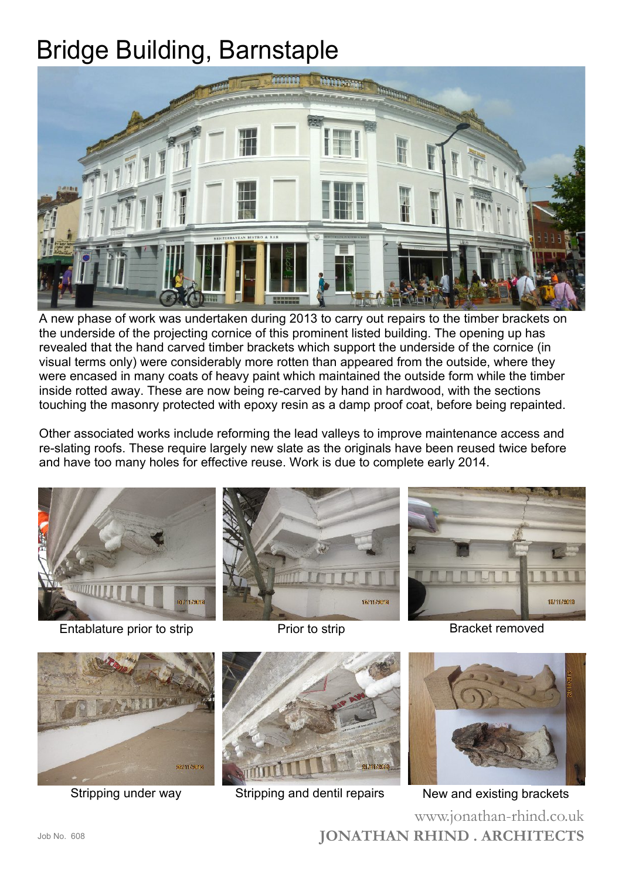## Bridge Building, Barnstaple



A new phase of work was undertaken during 2013 to carry out repairs to the timber brackets on the underside of the projecting cornice of this prominent listed building. The opening up has revealed that the hand carved timber brackets which support the underside of the cornice (in visual terms only) were considerably more rotten than appeared from the outside, where they were encased in many coats of heavy paint which maintained the outside form while the timber inside rotted away. These are now being re-carved by hand in hardwood, with the sections touching the masonry protected with epoxy resin as a damp proof coat, before being repainted.

Other associated works include reforming the lead valleys to improve maintenance access and re-slating roofs. These require largely new slate as the originals have been reused twice before and have too many holes for effective reuse. Work is due to complete early 2014.



Entablature prior to strip entries are prior to strip entries and Bracket removed





**JONATHAN RHIND . ARCHITECTS** www.jonathan-rhind.co.uk